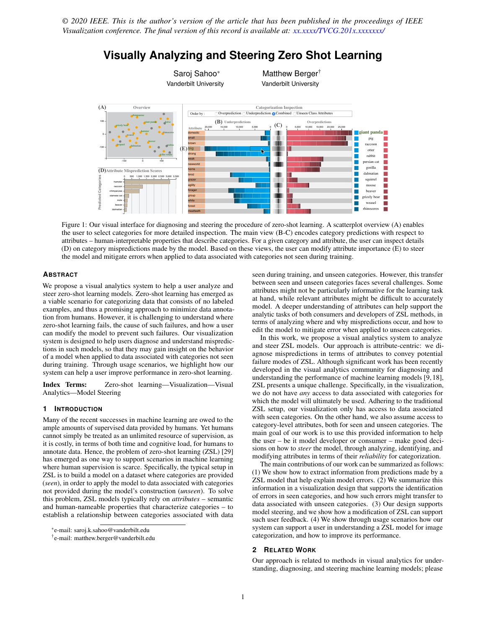*© 2020 IEEE. This is the author's version of the article that has been published in the proceedings of IEEE Visualization conference. The final version of this record is available at: [xx.xxxx/TVCG.201x.xxxxxxx/](https://doi.org/xx.xxxx/TVCG.201x.xxxxxxx/)*



# **Visually Analyzing and Steering Zero Shot Learning**

<span id="page-0-0"></span>Figure 1: Our visual interface for diagnosing and steering the procedure of zero-shot learning. A scatterplot overview (A) enables the user to select categories for more detailed inspection. The main view (B-C) encodes category predictions with respect to attributes – human-interpretable properties that describe categories. For a given category and attribute, the user can inspect details (D) on category mispredictions made by the model. Based on these views, the user can modify attribute importance (E) to steer the model and mitigate errors when applied to data associated with categories not seen during training.

## **ABSTRACT**

We propose a visual analytics system to help a user analyze and steer zero-shot learning models. Zero-shot learning has emerged as a viable scenario for categorizing data that consists of no labeled examples, and thus a promising approach to minimize data annotation from humans. However, it is challenging to understand where zero-shot learning fails, the cause of such failures, and how a user can modify the model to prevent such failures. Our visualization system is designed to help users diagnose and understand mispredictions in such models, so that they may gain insight on the behavior of a model when applied to data associated with categories not seen during training. Through usage scenarios, we highlight how our system can help a user improve performance in zero-shot learning.

Index Terms: Zero-shot learning—Visualization—Visual Analytics—Model Steering

## **1 INTRODUCTION**

Many of the recent successes in machine learning are owed to the ample amounts of supervised data provided by humans. Yet humans cannot simply be treated as an unlimited resource of supervision, as it is costly, in terms of both time and cognitive load, for humans to annotate data. Hence, the problem of zero-shot learning (ZSL) [\[29\]](#page-4-0) has emerged as one way to support scenarios in machine learning where human supervision is scarce. Specifically, the typical setup in ZSL is to build a model on a dataset where categories are provided (*seen*), in order to apply the model to data associated with categories not provided during the model's construction (*unseen*). To solve this problem, ZSL models typically rely on *attributes* – semantic and human-nameable properties that characterize categories – to establish a relationship between categories associated with data

seen during training, and unseen categories. However, this transfer between seen and unseen categories faces several challenges. Some attributes might not be particularly informative for the learning task at hand, while relevant attributes might be difficult to accurately model. A deeper understanding of attributes can help support the analytic tasks of both consumers and developers of ZSL methods, in terms of analyzing where and why mispredictions occur, and how to edit the model to mitigate error when applied to unseen categories.

In this work, we propose a visual analytics system to analyze and steer ZSL models. Our approach is attribute-centric: we diagnose mispredictions in terms of attributes to convey potential failure modes of ZSL. Although significant work has been recently developed in the visual analytics community for diagnosing and understanding the performance of machine learning models [\[9,](#page-4-1) [18\]](#page-4-2), ZSL presents a unique challenge. Specifically, in the visualization, we do not have *any* access to data associated with categories for which the model will ultimately be used. Adhering to the traditional ZSL setup, our visualization only has access to data associated with seen categories. On the other hand, we also assume access to category-level attributes, both for seen and unseen categories. The main goal of our work is to use this provided information to help the user – be it model developer or consumer – make good decisions on how to *steer* the model, through analyzing, identifying, and modifying attributes in terms of their *reliability* for categorization.

The main contributions of our work can be summarized as follows: (1) We show how to extract information from predictions made by a ZSL model that help explain model errors. (2) We summarize this information in a visualization design that supports the identification of errors in seen categories, and how such errors might transfer to data associated with unseen categories. (3) Our design supports model steering, and we show how a modification of ZSL can support such user feedback. (4) We show through usage scenarios how our system can support a user in understanding a ZSL model for image categorization, and how to improve its performance.

## **2 RELATED WORK**

Our approach is related to methods in visual analytics for understanding, diagnosing, and steering machine learning models; please

<sup>\*</sup>e-mail: saroj.k.sahoo@vanderbilt.edu

<sup>†</sup> e-mail: matthew.berger@vanderbilt.edu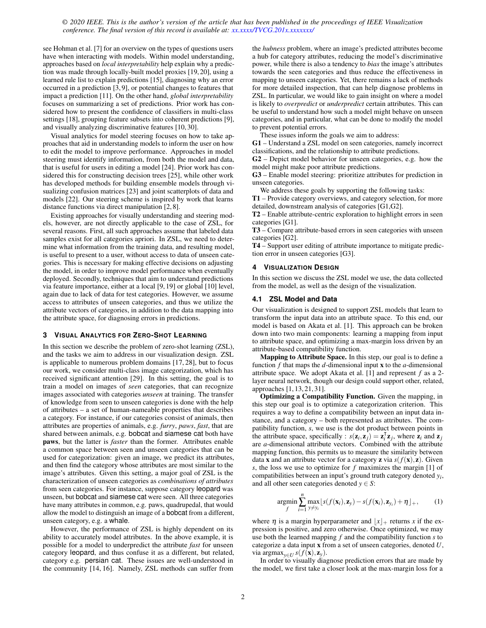*© 2020 IEEE. This is the author's version of the article that has been published in the proceedings of IEEE Visualization conference. The final version of this record is available at: [xx.xxxx/TVCG.201x.xxxxxxx/](https://doi.org/xx.xxxx/TVCG.201x.xxxxxxx/)*

see Hohman et al. [\[7\]](#page-4-3) for an overview on the types of questions users have when interacting with models. Within model understanding, approaches based on *local interpretability* help explain why a prediction was made through locally-built model proxies [\[19,](#page-4-4) [20\]](#page-4-5), using a learned rule list to explain predictions [\[15\]](#page-4-6), diagnosing why an error occurred in a prediction [\[3,](#page-4-7) [9\]](#page-4-1), or potential changes to features that impact a prediction [\[11\]](#page-4-8). On the other hand, *global interpretability* focuses on summarizing a set of predictions. Prior work has considered how to present the confidence of classifiers in multi-class settings [\[18\]](#page-4-2), grouping feature subsets into coherent predictions [\[9\]](#page-4-1), and visually analyzing discriminative features [\[10,](#page-4-9) [30\]](#page-4-10).

Visual analytics for model steering focuses on how to take approaches that aid in understanding models to inform the user on how to edit the model to improve performance. Approaches in model steering must identify information, from both the model and data, that is useful for users in editing a model [\[24\]](#page-4-11). Prior work has considered this for constructing decision trees [\[25\]](#page-4-12), while other work has developed methods for building ensemble models through visualizing confusion matrices [\[23\]](#page-4-13) and joint scatterplots of data and models [\[22\]](#page-4-14). Our steering scheme is inspired by work that learns distance functions via direct manipulation [\[2,](#page-4-15) [8\]](#page-4-16).

Existing approaches for visually understanding and steering models, however, are not directly applicable to the case of ZSL, for several reasons. First, all such approaches assume that labeled data samples exist for all categories apriori. In ZSL, we need to determine what information from the training data, and resulting model, is useful to present to a user, without access to data of unseen categories. This is necessary for making effective decisions on adjusting the model, in order to improve model performance when eventually deployed. Secondly, techniques that aim to understand predictions via feature importance, either at a local [\[9,](#page-4-1) [19\]](#page-4-4) or global [\[10\]](#page-4-9) level, again due to lack of data for test categories. However, we assume access to attributes of unseen categories, and thus we utilize the attribute vectors of categories, in addition to the data mapping into the attribute space, for diagnosing errors in predictions.

## **3 VISUAL ANALYTICS FOR ZERO-SHOT LEARNING**

In this section we describe the problem of zero-shot learning (ZSL), and the tasks we aim to address in our visualization design. ZSL is applicable to numerous problem domains [\[17,](#page-4-17) [28\]](#page-4-18), but to focus our work, we consider multi-class image categorization, which has received significant attention [\[29\]](#page-4-0). In this setting, the goal is to train a model on images of *seen* categories, that can recognize images associated with categories *unseen* at training. The transfer of knowledge from seen to unseen categories is done with the help of attributes – a set of human-nameable properties that describes a category. For instance, if our categories consist of animals, then attributes are properties of animals, e.g. *furry*, *paws*, *fast*, that are shared between animals, e.g. bobcat and siamese cat both have paws, but the latter is *faster* than the former. Attributes enable a common space between seen and unseen categories that can be used for categorization: given an image, we predict its attributes, and then find the category whose attributes are most similar to the image's attributes. Given this setting, a major goal of ZSL is the characterization of unseen categories as *combinations of attributes* from seen categories. For instance, suppose category leopard was unseen, but bobcat and siamese cat were seen. All three categories have many attributes in common, e.g. paws, quadrupedal, that would allow the model to distinguish an image of a bobcat from a different, unseen category, e.g. a whale.

However, the performance of ZSL is highly dependent on its ability to accurately model attributes. In the above example, it is possible for a model to underpredict the attribute *fast* for unseen category leopard, and thus confuse it as a different, but related, category e.g. persian cat. These issues are well-understood in the community [\[14,](#page-4-19) [16\]](#page-4-20). Namely, ZSL methods can suffer from

the *hubness* problem, where an image's predicted attributes become a hub for category attributes, reducing the model's discriminative power, while there is also a tendency to *bias* the image's attributes towards the seen categories and thus reduce the effectiveness in mapping to unseen categories. Yet, there remains a lack of methods for more detailed inspection, that can help diagnose problems in ZSL. In particular, we would like to gain insight on where a model is likely to *overpredict* or *underpredict* certain attributes. This can be useful to understand how such a model might behave on unseen categories, and in particular, what can be done to modify the model to prevent potential errors.

These issues inform the goals we aim to address:

G1 – Understand a ZSL model on seen categories, namely incorrect classifications, and the relationship to attribute predictions.

G2 – Depict model behavior for unseen categories, e.g. how the model might make poor attribute predictions.

G3 – Enable model steering: prioritize attributes for prediction in unseen categories.

We address these goals by supporting the following tasks:

T1 – Provide category overviews, and category selection, for more detailed, downstream analysis of categories [G1,G2].

T2 – Enable attribute-centric exploration to highlight errors in seen categories [G1].

T3 – Compare attribute-based errors in seen categories with unseen categories [G2].

T4 – Support user editing of attribute importance to mitigate prediction error in unseen categories [G3].

#### **4 VISUALIZATION DESIGN**

In this section we discuss the ZSL model we use, the data collected from the model, as well as the design of the visualization.

#### **4.1 ZSL Model and Data**

Our visualization is designed to support ZSL models that learn to transform the input data into an attribute space. To this end, our model is based on Akata et al. [\[1\]](#page-4-21). This approach can be broken down into two main components: learning a mapping from input to attribute space, and optimizing a max-margin loss driven by an attribute-based compatibility function.

Mapping to Attribute Space. In this step, our goal is to define a function *f* that maps the *d*-dimensional input x to the *a*-dimensional attribute space. We adopt Akata et al. [\[1\]](#page-4-21) and represent *f* as a 2 layer neural network, though our design could support other, related, approaches [\[1,](#page-4-21) [13,](#page-4-22) [21,](#page-4-23) [31\]](#page-4-24).

Optimizing a Compatibility Function. Given the mapping, in this step our goal is to optimize a categorization criterion. This requires a way to define a compatibility between an input data instance, and a category – both represented as attributes. The compatibility function, *s*, we use is the dot product between points in the attribute space, specifically :  $s(\mathbf{z}_i, \mathbf{z}_j) = \mathbf{z}_i^T$  $\mathbf{z}_i^{\mathsf{T}} \mathbf{z}_j$ , where  $\mathbf{z}_i$  and  $\mathbf{z}_j$ are *a*-dimensional attribute vectors. Combined with the attribute mapping function, this permits us to measure the similarity between data **x** and an attribute vector for a category **z** via  $s(f(\mathbf{x}), \mathbf{z})$ . Given *s*, the loss we use to optimize for *f* maximizes the margin [\[1\]](#page-4-21) of compatibilities between an input's ground truth category denoted *yi* , and all other seen categories denoted  $y \in S$ :

<span id="page-1-0"></span>
$$
\underset{f}{\text{argmin}} \sum_{i=1}^{n} \underset{y \neq y_i}{\text{max}} \left[ s(f(\mathbf{x}_i), \mathbf{z}_y) - s(f(\mathbf{x}_i), \mathbf{z}_{y_i}) + \eta \right]_+, \quad (1)
$$

where  $\eta$  is a margin hyperparameter and  $|x|_+$  returns *x* if the expression is positive, and zero otherwise. Once optimized, we may use both the learned mapping *f* and the compatibility function *s* to categorize a data input x from a set of unseen categories, denoted *U*, via argmax<sub>*v*∈*U*</sub>  $s(f(\mathbf{x}), \mathbf{z}_y)$ .

In order to visually diagnose prediction errors that are made by the model, we first take a closer look at the max-margin loss for a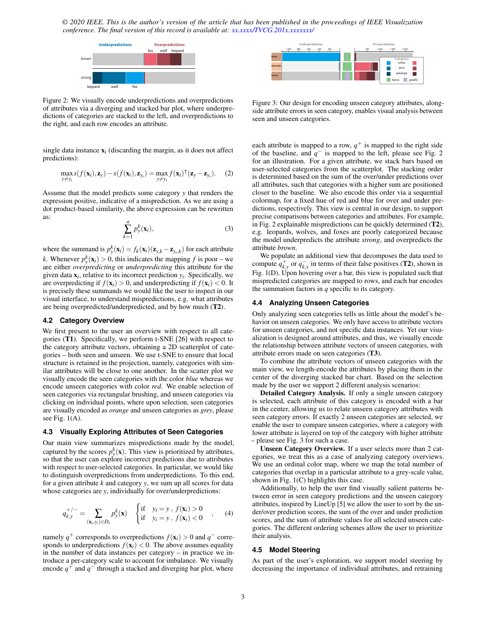<span id="page-2-0"></span>*© 2020 IEEE. This is the author's version of the article that has been published in the proceedings of IEEE Visualization conference. The final version of this record is available at: [xx.xxxx/TVCG.201x.xxxxxxx/](https://doi.org/xx.xxxx/TVCG.201x.xxxxxxx/)*



Figure 2: We visually encode underpredictions and overpredictions of attributes via a diverging and stacked bar plot, where underpredictions of categories are stacked to the left, and overpredictions to the right, and each row encodes an attribute.

single data instance  $x_i$  (discarding the margin, as it does not affect predictions):

$$
\max_{y \neq y_i} s(f(\mathbf{x}_i), \mathbf{z}_y) - s(f(\mathbf{x}_i), \mathbf{z}_{y_i}) = \max_{y \neq y_i} f(\mathbf{x}_i)^{\mathsf{T}}(\mathbf{z}_y - \mathbf{z}_{y_i}). \quad (2)
$$

Assume that the model predicts some category *y* that renders the expression positive, indicative of a misprediction. As we are using a dot product-based similarity, the above expression can be rewritten as:

$$
\sum_{k=1}^{a} p_{\mathbf{y}}^{k}(\mathbf{x}_{i}),\tag{3}
$$

where the summand is  $p_{y}^{k}(\mathbf{x}_{i}) = f_{k}(\mathbf{x}_{i})(\mathbf{z}_{y,k} - \mathbf{z}_{y_{i},k})$  for each attribute *k*. Whenever  $p_{y}^{k}(\mathbf{x}_{i}) > 0$ , this indicates the mapping *f* is poor – we are either *overpredicting* or *underpredicting* this attribute for the given data  $\mathbf{x}_i$ , relative to its incorrect prediction  $y_i$ . Specifically, we are overpredicting if  $f(\mathbf{x}_i) > 0$ , and underpredicting if  $f(\mathbf{x}_i) < 0$ . It is precisely these summands we would like the user to inspect in our visual interface, to understand mispredictions, e.g. what attributes are being overpredicted/underpredicted, and by how much (T2).

## **4.2 Category Overview**

We first present to the user an overview with respect to all categories (T1). Specifically, we perform t-SNE [\[26\]](#page-4-25) with respect to the category attribute vectors, obtaining a 2D scatterplot of categories – both seen and unseen. We use t-SNE to ensure that local structure is retained in the projection, namely, categories with similar attributes will be close to one another. In the scatter plot we visually encode the seen categories with the color *blue* whereas we encode unseen categories with color *red*. We enable selection of seen categories via rectangular brushing, and unseen categories via clicking on individual points, where upon selection, seen categories are visually encoded as *orange* and unseen categories as *grey*, please see Fig. [1\(](#page-0-0)A).

#### **4.3 Visually Exploring Attributes of Seen Categories**

Our main view summarizes mispredictions made by the model, captured by the scores  $p_{y}^{k}(\mathbf{x})$ . This view is prioritized by attributes, so that the user can explore incorrect predictions due to attributes with respect to user-selected categories. In particular, we would like to distinguish overpredictions from underpredictions. To this end, for a given attribute *k* and category *y*, we sum up all scores for data whose categories are *y*, individually for over/underpredictions:

$$
q_{k,y}^{+/-} = \sum_{(\mathbf{x}_i, y_i) \in D_s} p_y^k(\mathbf{x}) \quad \begin{cases} \text{if} \quad y_i = y \,, \, f(\mathbf{x}_i) > 0 \\ \text{if} \quad y_i = y \,, \, f(\mathbf{x}_i) < 0 \end{cases} \,, \tag{4}
$$

namely  $q^+$  corresponds to overpredictions  $f(\mathbf{x}_i) > 0$  and  $q^-$  corresponds to underpredictions  $f(\mathbf{x}_i) < 0$ . The above assumes equality in the number of data instances per category – in practice we introduce a per-category scale to account for imbalance. We visually encode  $q^+$  and  $q^-$  through a stacked and diverging bar plot, where

<span id="page-2-1"></span>

Figure 3: Our design for encoding unseen category attributes, alongside attribute errors in seen category, enables visual analysis between seen and unseen categories.

each attribute is mapped to a row,  $q^+$  is mapped to the right side of the baseline, and  $q^-$  is mapped to the left, please see Fig. [2](#page-2-0) for an illustration. For a given attribute, we stack bars based on user-selected categories from the scatterplot. The stacking order is determined based on the sum of the over/under predictions over all attributes, such that categories with a higher sum are positioned closer to the baseline. We also encode this order via a sequential colormap, for a fixed hue of red and blue for over and under predictions, respectively. This view is central in our design, to support precise comparisons between categories and attributes. For example, in Fig. [2](#page-2-0) explainable mispredictions can be quickly determined (T2), e.g. leopards, wolves, and foxes are poorly categorized because the model underpredicts the attribute *strong*, and overpredicts the attribute *brown*.

We populate an additional view that decomposes the data used to compute  $q_{k,y}^+$  or  $q_{k,y}^-$  in terms of their false positives (T2), shown in Fig. [1\(](#page-0-0)D). Upon hovering over a bar, this view is populated such that mispredicted categories are mapped to rows, and each bar encodes the summation factors in *q* specific to its category.

## **4.4 Analyzing Unseen Categories**

Only analyzing seen categories tells us little about the model's behavior on unseen categories. We only have access to attribute vectors for unseen categories, and not specific data instances. Yet our visualization is designed around attributes, and thus, we visually encode the relationship between attribute vectors of unseen categories, with attribute errors made on seen categories (T3).

To combine the attribute vectors of unseen categories with the main view, we length-encode the attributes by placing them in the center of the diverging stacked bar chart. Based on the selection made by the user we support 2 different analysis scenarios:

Detailed Category Analysis. If only a single unseen category is selected, each attribute of this category is encoded with a bar in the center, allowing us to relate unseen category attributes with seen category errors. If exactly 2 unseen categories are selected, we enable the user to compare unseen categories, where a category with lower attribute is layered on top of the category with higher attribute – please see Fig. [3](#page-2-1) for such a case.

Unseen Category Overview. If a user selects more than 2 categories, we treat this as a case of analyzing category overviews. We use an ordinal color map, where we map the total number of categories that overlap in a particular attribute to a grey-scale value, shown in Fig. [1\(](#page-0-0)C) highlights this case.

Additionally, to help the user find visually salient patterns between error in seen category predictions and the unseen category attributes, inspired by LineUp [\[5\]](#page-4-26) we allow the user to sort by the under/over prediction scores, the sum of the over and under prediction scores, and the sum of attribute values for all selected unseen categories. The different ordering schemes allow the user to prioritize their analysis.

## **4.5 Model Steering**

As part of the user's exploration, we support model steering by decreasing the importance of individual attributes, and retraining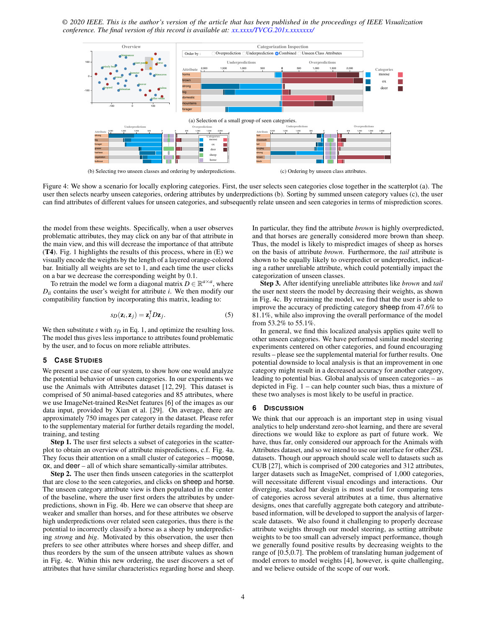<span id="page-3-0"></span>*© 2020 IEEE. This is the author's version of the article that has been published in the proceedings of IEEE Visualization conference. The final version of this record is available at: [xx.xxxx/TVCG.201x.xxxxxxx/](https://doi.org/xx.xxxx/TVCG.201x.xxxxxxx/)*



Figure 4: We show a scenario for locally exploring categories. First, the user selects seen categories close together in the scatterplot (a). The user then selects nearby unseen categories, ordering attributes by underpredictions (b). Sorting by summed unseen category values (c), the user can find attributes of different values for unseen categories, and subsequently relate unseen and seen categories in terms of misprediction scores.

the model from these weights. Specifically, when a user observes problematic attributes, they may click on any bar of that attribute in the main view, and this will decrease the importance of that attribute (T4). Fig. [1](#page-0-0) highlights the results of this process, where in (E) we visually encode the weights by the length of a layered orange-colored bar. Initially all weights are set to 1, and each time the user clicks on a bar we decrease the corresponding weight by 0.1.

To retrain the model we form a diagonal matrix  $D \in \mathbb{R}^{a \times a}$ , where  $D_{ii}$  contains the user's weight for attribute *i*. We then modify our compatibility function by incorporating this matrix, leading to:

$$
s_D(\mathbf{z}_i, \mathbf{z}_j) = \mathbf{z}_i^{\mathsf{T}} D \mathbf{z}_j. \tag{5}
$$

We then substitute  $s$  with  $s_D$  in Eq. [1,](#page-1-0) and optimize the resulting loss. The model thus gives less importance to attributes found problematic by the user, and to focus on more reliable attributes.

### **5 CASE STUDIES**

We present a use case of our system, to show how one would analyze the potential behavior of unseen categories. In our experiments we use the Animals with Attributes dataset [\[12,](#page-4-27) [29\]](#page-4-0). This dataset is comprised of 50 animal-based categories and 85 attributes, where we use ImageNet-trained ResNet features [\[6\]](#page-4-28) of the images as our data input, provided by Xian et al. [\[29\]](#page-4-0). On average, there are approximately 750 images per category in the dataset. Please refer to the supplementary material for further details regarding the model, training, and testing

Step 1. The user first selects a subset of categories in the scatterplot to obtain an overview of attribute mispredictions, c.f. Fig. [4a.](#page-3-0) They focus their attention on a small cluster of categories – moose, ox, and deer – all of which share semantically-similar attributes.

Step 2. The user then finds unseen categories in the scatterplot that are close to the seen categories, and clicks on sheep and horse. The unseen category attribute view is then populated in the center of the baseline, where the user first orders the attributes by underpredictions, shown in Fig. [4b.](#page-3-0) Here we can observe that sheep are weaker and smaller than horses, and for these attributes we observe high underpredictions over related seen categories, thus there is the potential to incorrectly classify a horse as a sheep by underpredicting *strong* and *big*. Motivated by this observation, the user then prefers to see other attributes where horses and sheep differ, and thus reorders by the sum of the unseen attribute values as shown in Fig. [4c.](#page-3-0) Within this new ordering, the user discovers a set of attributes that have similar characteristics regarding horse and sheep. In particular, they find the attribute *brown* is highly overpredicted, and that horses are generally considered more brown than sheep. Thus, the model is likely to mispredict images of sheep as horses on the basis of attribute *brown*. Furthermore, the *tail* attribute is shown to be equally likely to overpredict or underpredict, indicating a rather unreliable attribute, which could potentially impact the categorization of unseen classes.

Step 3. After identifying unreliable attributes like *brown* and *tail* the user next steers the model by decreasing their weights, as shown in Fig. [4c.](#page-3-0) By retraining the model, we find that the user is able to improve the accuracy of predicting category sheep from 47.6% to 81.1%, while also improving the overall performance of the model from 53.2% to 55.1%.

In general, we find this localized analysis applies quite well to other unseen categories. We have performed similar model steering experiments centered on other categories, and found encouraging results – please see the supplemental material for further results. One potential downside to local analysis is that an improvement in one category might result in a decreased accuracy for another category, leading to potential bias. Global analysis of unseen categories – as depicted in Fig. [1](#page-0-0) – can help counter such bias, thus a mixture of these two analyses is most likely to be useful in practice.

## **6 DISCUSSION**

We think that our approach is an important step in using visual analytics to help understand zero-shot learning, and there are several directions we would like to explore as part of future work. We have, thus far, only considered our approach for the Animals with Attributes dataset, and so we intend to use our interface for other ZSL datasets. Though our approach should scale well to datasets such as CUB [\[27\]](#page-4-29), which is comprised of 200 categories and 312 attributes, larger datasets such as ImageNet, comprised of 1,000 categories, will necessitate different visual encodings and interactions. Our diverging, stacked bar design is most useful for comparing tens of categories across several attributes at a time, thus alternative designs, ones that carefully aggregate both category and attributebased information, will be developed to support the analysis of largerscale datasets. We also found it challenging to properly decrease attribute weights through our model steering, as setting attribute weights to be too small can adversely impact performance, though we generally found positive results by decreasing weights to the range of [0.5,0.7]. The problem of translating human judgement of model errors to model weights [\[4\]](#page-4-30), however, is quite challenging, and we believe outside of the scope of our work.